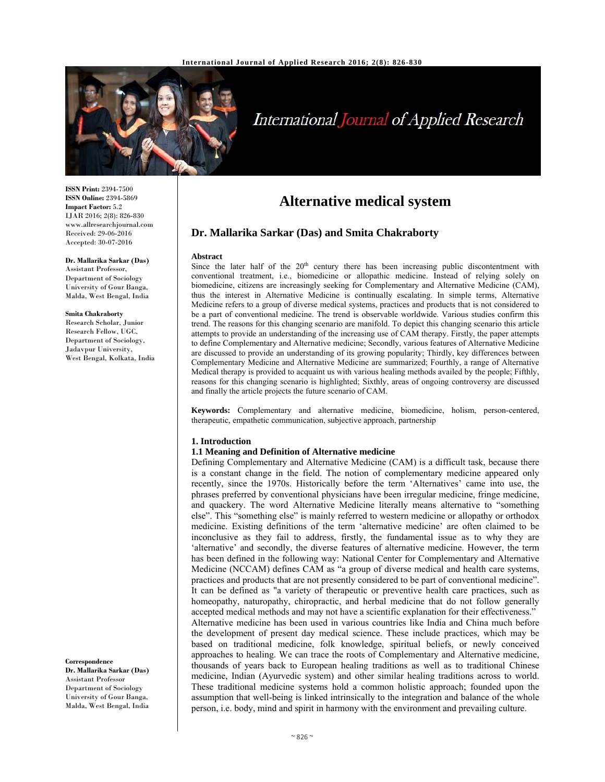

# International Journal of Applied Research

**ISSN Print:** 2394-7500 **ISSN Online:** 2394-5869 **Impact Factor:** 5.2 IJAR 2016; 2(8): 826-830 www.allresearchjournal.com Received: 29-06-2016 Accepted: 30-07-2016

**Dr. Mallarika Sarkar (Das)**  Assistant Professor, Department of Sociology University of Gour Banga, Malda, West Bengal, India

#### **Smita Chakraborty**

Research Scholar, Junior Research Fellow, UGC, Department of Sociology, Jadavpur University, West Bengal, Kolkata, India

**Correspondence Dr. Mallarika Sarkar (Das)**  Assistant Professor Department of Sociology University of Gour Banga, Malda, West Bengal, India

# **Alternative medical system**

### **Dr. Mallarika Sarkar (Das) and Smita Chakraborty**

#### **Abstract**

Since the later half of the  $20<sup>th</sup>$  century there has been increasing public discontentment with conventional treatment, i.e., biomedicine or allopathic medicine. Instead of relying solely on biomedicine, citizens are increasingly seeking for Complementary and Alternative Medicine (CAM), thus the interest in Alternative Medicine is continually escalating. In simple terms, Alternative Medicine refers to a group of diverse medical systems, practices and products that is not considered to be a part of conventional medicine. The trend is observable worldwide. Various studies confirm this trend. The reasons for this changing scenario are manifold. To depict this changing scenario this article attempts to provide an understanding of the increasing use of CAM therapy. Firstly, the paper attempts to define Complementary and Alternative medicine; Secondly, various features of Alternative Medicine are discussed to provide an understanding of its growing popularity; Thirdly, key differences between Complementary Medicine and Alternative Medicine are summarized; Fourthly, a range of Alternative Medical therapy is provided to acquaint us with various healing methods availed by the people; Fifthly, reasons for this changing scenario is highlighted; Sixthly, areas of ongoing controversy are discussed and finally the article projects the future scenario of CAM.

**Keywords:** Complementary and alternative medicine, biomedicine, holism, person-centered, therapeutic, empathetic communication, subjective approach, partnership

#### **1. Introduction**

#### **1.1 Meaning and Definition of Alternative medicine**

Defining Complementary and Alternative Medicine (CAM) is a difficult task, because there is a constant change in the field. The notion of complementary medicine appeared only recently, since the 1970s. Historically before the term 'Alternatives' came into use, the phrases preferred by conventional physicians have been irregular medicine, fringe medicine, and quackery. The word Alternative Medicine literally means alternative to "something else". This "something else" is mainly referred to western medicine or allopathy or orthodox medicine. Existing definitions of the term 'alternative medicine' are often claimed to be inconclusive as they fail to address, firstly, the fundamental issue as to why they are 'alternative' and secondly, the diverse features of alternative medicine. However, the term has been defined in the following way: National Center for Complementary and Alternative Medicine (NCCAM) defines CAM as "a group of diverse medical and health care systems, practices and products that are not presently considered to be part of conventional medicine". It can be defined as "a variety of therapeutic or preventive health care practices, such as homeopathy, naturopathy, chiropractic, and herbal medicine that do not follow generally accepted medical methods and may not have a scientific explanation for their effectiveness." Alternative medicine has been used in various countries like India and China much before the development of present day medical science. These include practices, which may be based on traditional medicine, folk knowledge, spiritual beliefs, or newly conceived approaches to healing. We can trace the roots of Complementary and Alternative medicine, thousands of years back to European healing traditions as well as to traditional Chinese medicine, Indian (Ayurvedic system) and other similar healing traditions across to world. These traditional medicine systems hold a common holistic approach; founded upon the assumption that well-being is linked intrinsically to the integration and balance of the whole person, i.e. body, mind and spirit in harmony with the environment and prevailing culture.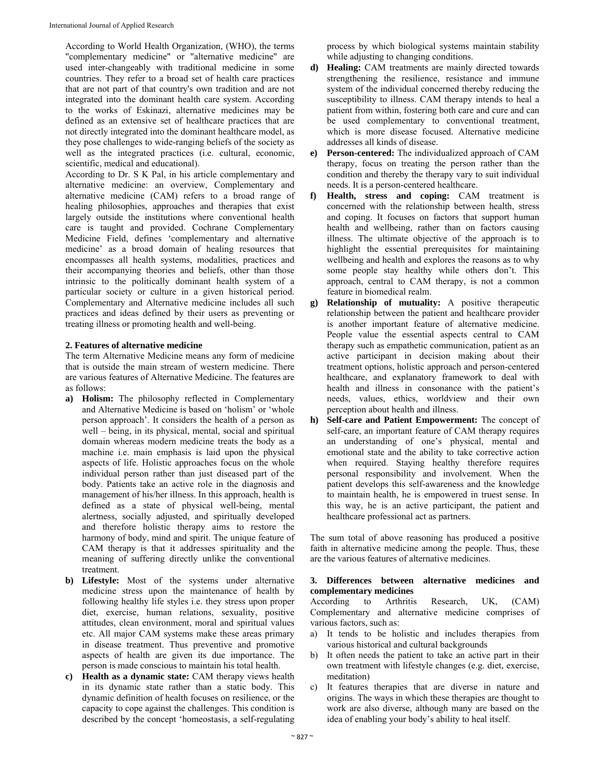According to World Health Organization, (WHO), the terms "complementary medicine" or "alternative medicine" are used inter-changeably with traditional medicine in some countries. They refer to a broad set of health care practices that are not part of that country's own tradition and are not integrated into the dominant health care system. According to the works of Eskinazi, alternative medicines may be defined as an extensive set of healthcare practices that are not directly integrated into the dominant healthcare model, as they pose challenges to wide-ranging beliefs of the society as well as the integrated practices (i.e. cultural, economic, scientific, medical and educational).

According to Dr. S K Pal, in his article complementary and alternative medicine: an overview, Complementary and alternative medicine (CAM) refers to a broad range of healing philosophies, approaches and therapies that exist largely outside the institutions where conventional health care is taught and provided. Cochrane Complementary Medicine Field, defines 'complementary and alternative medicine' as a broad domain of healing resources that encompasses all health systems, modalities, practices and their accompanying theories and beliefs, other than those intrinsic to the politically dominant health system of a particular society or culture in a given historical period. Complementary and Alternative medicine includes all such practices and ideas defined by their users as preventing or treating illness or promoting health and well-being.

#### **2. Features of alternative medicine**

The term Alternative Medicine means any form of medicine that is outside the main stream of western medicine. There are various features of Alternative Medicine. The features are as follows:

- **a) Holism:** The philosophy reflected in Complementary and Alternative Medicine is based on 'holism' or 'whole person approach'. It considers the health of a person as well – being, in its physical, mental, social and spiritual domain whereas modern medicine treats the body as a machine i.e. main emphasis is laid upon the physical aspects of life. Holistic approaches focus on the whole individual person rather than just diseased part of the body. Patients take an active role in the diagnosis and management of his/her illness. In this approach, health is defined as a state of physical well-being, mental alertness, socially adjusted, and spiritually developed and therefore holistic therapy aims to restore the harmony of body, mind and spirit. The unique feature of CAM therapy is that it addresses spirituality and the meaning of suffering directly unlike the conventional treatment.
- **b) Lifestyle:** Most of the systems under alternative medicine stress upon the maintenance of health by following healthy life styles i.e. they stress upon proper diet, exercise, human relations, sexuality, positive attitudes, clean environment, moral and spiritual values etc. All major CAM systems make these areas primary in disease treatment. Thus preventive and promotive aspects of health are given its due importance. The person is made conscious to maintain his total health.
- **c) Health as a dynamic state:** CAM therapy views health in its dynamic state rather than a static body. This dynamic definition of health focuses on resilience, or the capacity to cope against the challenges. This condition is described by the concept 'homeostasis, a self-regulating

process by which biological systems maintain stability while adjusting to changing conditions.

- **d) Healing:** CAM treatments are mainly directed towards strengthening the resilience, resistance and immune system of the individual concerned thereby reducing the susceptibility to illness. CAM therapy intends to heal a patient from within, fostering both care and cure and can be used complementary to conventional treatment, which is more disease focused. Alternative medicine addresses all kinds of disease.
- **e) Person-centered:** The individualized approach of CAM therapy, focus on treating the person rather than the condition and thereby the therapy vary to suit individual needs. It is a person-centered healthcare.
- **f) Health, stress and coping:** CAM treatment is concerned with the relationship between health, stress and coping. It focuses on factors that support human health and wellbeing, rather than on factors causing illness. The ultimate objective of the approach is to highlight the essential prerequisites for maintaining wellbeing and health and explores the reasons as to why some people stay healthy while others don't. This approach, central to CAM therapy, is not a common feature in biomedical realm.
- **g) Relationship of mutuality:** A positive therapeutic relationship between the patient and healthcare provider is another important feature of alternative medicine. People value the essential aspects central to CAM therapy such as empathetic communication, patient as an active participant in decision making about their treatment options, holistic approach and person-centered healthcare, and explanatory framework to deal with health and illness in consonance with the patient's needs, values, ethics, worldview and their own perception about health and illness.
- **h) Self-care and Patient Empowerment:** The concept of self-care, an important feature of CAM therapy requires an understanding of one's physical, mental and emotional state and the ability to take corrective action when required. Staying healthy therefore requires personal responsibility and involvement. When the patient develops this self-awareness and the knowledge to maintain health, he is empowered in truest sense. In this way, he is an active participant, the patient and healthcare professional act as partners.

The sum total of above reasoning has produced a positive faith in alternative medicine among the people. Thus, these are the various features of alternative medicines.

#### **3. Differences between alternative medicines and complementary medicines**

According to Arthritis Research, UK, (CAM) Complementary and alternative medicine comprises of various factors, such as:

- a) It tends to be holistic and includes therapies from various historical and cultural backgrounds
- b) It often needs the patient to take an active part in their own treatment with lifestyle changes (e.g. diet, exercise, meditation)
- c) It features therapies that are diverse in nature and origins. The ways in which these therapies are thought to work are also diverse, although many are based on the idea of enabling your body's ability to heal itself.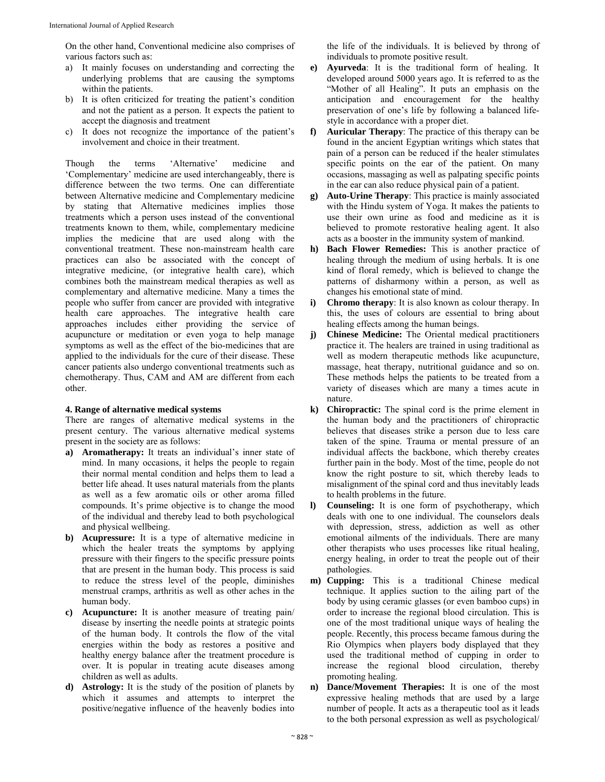On the other hand, Conventional medicine also comprises of various factors such as:

- a) It mainly focuses on understanding and correcting the underlying problems that are causing the symptoms within the patients.
- b) It is often criticized for treating the patient's condition and not the patient as a person. It expects the patient to accept the diagnosis and treatment
- c) It does not recognize the importance of the patient's involvement and choice in their treatment.

Though the terms 'Alternative' medicine and 'Complementary' medicine are used interchangeably, there is difference between the two terms. One can differentiate between Alternative medicine and Complementary medicine by stating that Alternative medicines implies those treatments which a person uses instead of the conventional treatments known to them, while, complementary medicine implies the medicine that are used along with the conventional treatment. These non-mainstream health care practices can also be associated with the concept of integrative medicine, (or integrative health care), which combines both the mainstream medical therapies as well as complementary and alternative medicine. Many a times the people who suffer from cancer are provided with integrative health care approaches. The integrative health care approaches includes either providing the service of acupuncture or meditation or even yoga to help manage symptoms as well as the effect of the bio-medicines that are applied to the individuals for the cure of their disease. These cancer patients also undergo conventional treatments such as chemotherapy. Thus, CAM and AM are different from each other.

#### **4. Range of alternative medical systems**

There are ranges of alternative medical systems in the present century. The various alternative medical systems present in the society are as follows:

- **a) Aromatherapy:** It treats an individual's inner state of mind. In many occasions, it helps the people to regain their normal mental condition and helps them to lead a better life ahead. It uses natural materials from the plants as well as a few aromatic oils or other aroma filled compounds. It's prime objective is to change the mood of the individual and thereby lead to both psychological and physical wellbeing.
- **b) Acupressure:** It is a type of alternative medicine in which the healer treats the symptoms by applying pressure with their fingers to the specific pressure points that are present in the human body. This process is said to reduce the stress level of the people, diminishes menstrual cramps, arthritis as well as other aches in the human body.
- **c) Acupuncture:** It is another measure of treating pain/ disease by inserting the needle points at strategic points of the human body. It controls the flow of the vital energies within the body as restores a positive and healthy energy balance after the treatment procedure is over. It is popular in treating acute diseases among children as well as adults.
- **d) Astrology:** It is the study of the position of planets by which it assumes and attempts to interpret the positive/negative influence of the heavenly bodies into

the life of the individuals. It is believed by throng of individuals to promote positive result.

- **e) Ayurveda**: It is the traditional form of healing. It developed around 5000 years ago. It is referred to as the "Mother of all Healing". It puts an emphasis on the anticipation and encouragement for the healthy preservation of one's life by following a balanced lifestyle in accordance with a proper diet.
- **f) Auricular Therapy**: The practice of this therapy can be found in the ancient Egyptian writings which states that pain of a person can be reduced if the healer stimulates specific points on the ear of the patient. On many occasions, massaging as well as palpating specific points in the ear can also reduce physical pain of a patient.
- **g) Auto-Urine Therapy**: This practice is mainly associated with the Hindu system of Yoga. It makes the patients to use their own urine as food and medicine as it is believed to promote restorative healing agent. It also acts as a booster in the immunity system of mankind.
- **h) Bach Flower Remedies:** This is another practice of healing through the medium of using herbals. It is one kind of floral remedy, which is believed to change the patterns of disharmony within a person, as well as changes his emotional state of mind.
- **i) Chromo therapy**: It is also known as colour therapy. In this, the uses of colours are essential to bring about healing effects among the human beings.
- **j) Chinese Medicine:** The Oriental medical practitioners practice it. The healers are trained in using traditional as well as modern therapeutic methods like acupuncture, massage, heat therapy, nutritional guidance and so on. These methods helps the patients to be treated from a variety of diseases which are many a times acute in nature.
- **k) Chiropractic:** The spinal cord is the prime element in the human body and the practitioners of chiropractic believes that diseases strike a person due to less care taken of the spine. Trauma or mental pressure of an individual affects the backbone, which thereby creates further pain in the body. Most of the time, people do not know the right posture to sit, which thereby leads to misalignment of the spinal cord and thus inevitably leads to health problems in the future.
- **l) Counseling:** It is one form of psychotherapy, which deals with one to one individual. The counselors deals with depression, stress, addiction as well as other emotional ailments of the individuals. There are many other therapists who uses processes like ritual healing, energy healing, in order to treat the people out of their pathologies.
- **m) Cupping:** This is a traditional Chinese medical technique. It applies suction to the ailing part of the body by using ceramic glasses (or even bamboo cups) in order to increase the regional blood circulation. This is one of the most traditional unique ways of healing the people. Recently, this process became famous during the Rio Olympics when players body displayed that they used the traditional method of cupping in order to increase the regional blood circulation, thereby promoting healing.
- **n) Dance/Movement Therapies:** It is one of the most expressive healing methods that are used by a large number of people. It acts as a therapeutic tool as it leads to the both personal expression as well as psychological/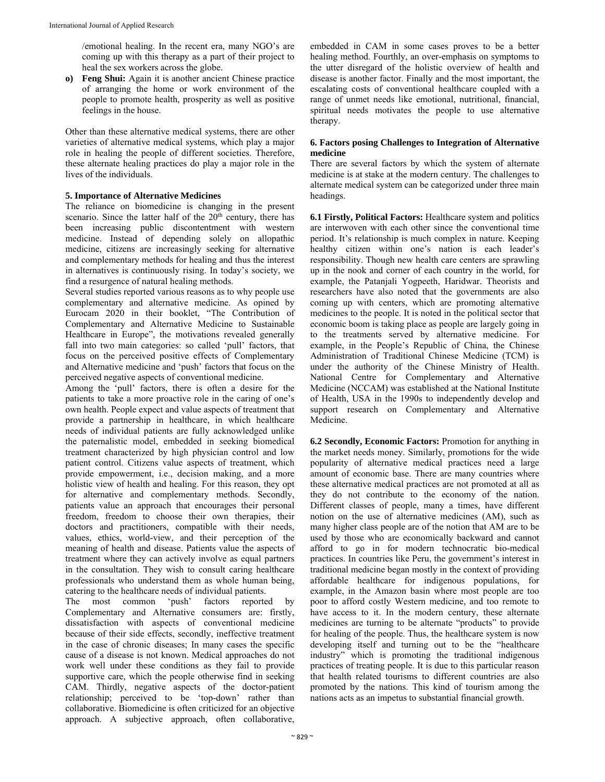/emotional healing. In the recent era, many NGO's are coming up with this therapy as a part of their project to heal the sex workers across the globe.

**o) Feng Shui:** Again it is another ancient Chinese practice of arranging the home or work environment of the people to promote health, prosperity as well as positive feelings in the house.

Other than these alternative medical systems, there are other varieties of alternative medical systems, which play a major role in healing the people of different societies. Therefore, these alternate healing practices do play a major role in the lives of the individuals.

## **5. Importance of Alternative Medicines**

The reliance on biomedicine is changing in the present scenario. Since the latter half of the  $20<sup>th</sup>$  century, there has been increasing public discontentment with western medicine. Instead of depending solely on allopathic medicine, citizens are increasingly seeking for alternative and complementary methods for healing and thus the interest in alternatives is continuously rising. In today's society, we find a resurgence of natural healing methods.

Several studies reported various reasons as to why people use complementary and alternative medicine. As opined by Eurocam 2020 in their booklet, "The Contribution of Complementary and Alternative Medicine to Sustainable Healthcare in Europe", the motivations revealed generally fall into two main categories: so called 'pull' factors, that focus on the perceived positive effects of Complementary and Alternative medicine and 'push' factors that focus on the perceived negative aspects of conventional medicine.

Among the 'pull' factors, there is often a desire for the patients to take a more proactive role in the caring of one's own health. People expect and value aspects of treatment that provide a partnership in healthcare, in which healthcare needs of individual patients are fully acknowledged unlike the paternalistic model, embedded in seeking biomedical treatment characterized by high physician control and low patient control. Citizens value aspects of treatment, which provide empowerment, i.e., decision making, and a more holistic view of health and healing. For this reason, they opt for alternative and complementary methods. Secondly, patients value an approach that encourages their personal freedom, freedom to choose their own therapies, their doctors and practitioners, compatible with their needs, values, ethics, world-view, and their perception of the meaning of health and disease. Patients value the aspects of treatment where they can actively involve as equal partners in the consultation. They wish to consult caring healthcare professionals who understand them as whole human being, catering to the healthcare needs of individual patients.

The most common 'push' factors reported by Complementary and Alternative consumers are: firstly, dissatisfaction with aspects of conventional medicine because of their side effects, secondly, ineffective treatment in the case of chronic diseases; In many cases the specific cause of a disease is not known. Medical approaches do not work well under these conditions as they fail to provide supportive care, which the people otherwise find in seeking CAM. Thirdly, negative aspects of the doctor-patient relationship; perceived to be 'top-down' rather than collaborative. Biomedicine is often criticized for an objective approach. A subjective approach, often collaborative,

embedded in CAM in some cases proves to be a better healing method. Fourthly, an over-emphasis on symptoms to the utter disregard of the holistic overview of health and disease is another factor. Finally and the most important, the escalating costs of conventional healthcare coupled with a range of unmet needs like emotional, nutritional, financial, spiritual needs motivates the people to use alternative therapy.

#### **6. Factors posing Challenges to Integration of Alternative medicine**

There are several factors by which the system of alternate medicine is at stake at the modern century. The challenges to alternate medical system can be categorized under three main headings.

**6.1 Firstly, Political Factors:** Healthcare system and politics are interwoven with each other since the conventional time period. It's relationship is much complex in nature. Keeping healthy citizen within one's nation is each leader's responsibility. Though new health care centers are sprawling up in the nook and corner of each country in the world, for example, the Patanjali Yogpeeth, Haridwar. Theorists and researchers have also noted that the governments are also coming up with centers, which are promoting alternative medicines to the people. It is noted in the political sector that economic boom is taking place as people are largely going in to the treatments served by alternative medicine. For example, in the People's Republic of China, the Chinese Administration of Traditional Chinese Medicine (TCM) is under the authority of the Chinese Ministry of Health. National Centre for Complementary and Alternative Medicine (NCCAM) was established at the National Institute of Health, USA in the 1990s to independently develop and support research on Complementary and Alternative Medicine.

**6.2 Secondly, Economic Factors:** Promotion for anything in the market needs money. Similarly, promotions for the wide popularity of alternative medical practices need a large amount of economic base. There are many countries where these alternative medical practices are not promoted at all as they do not contribute to the economy of the nation. Different classes of people, many a times, have different notion on the use of alternative medicines (AM), such as many higher class people are of the notion that AM are to be used by those who are economically backward and cannot afford to go in for modern technocratic bio-medical practices. In countries like Peru, the government's interest in traditional medicine began mostly in the context of providing affordable healthcare for indigenous populations, for example, in the Amazon basin where most people are too poor to afford costly Western medicine, and too remote to have access to it. In the modern century, these alternate medicines are turning to be alternate "products" to provide for healing of the people. Thus, the healthcare system is now developing itself and turning out to be the "healthcare industry" which is promoting the traditional indigenous practices of treating people. It is due to this particular reason that health related tourisms to different countries are also promoted by the nations. This kind of tourism among the nations acts as an impetus to substantial financial growth.